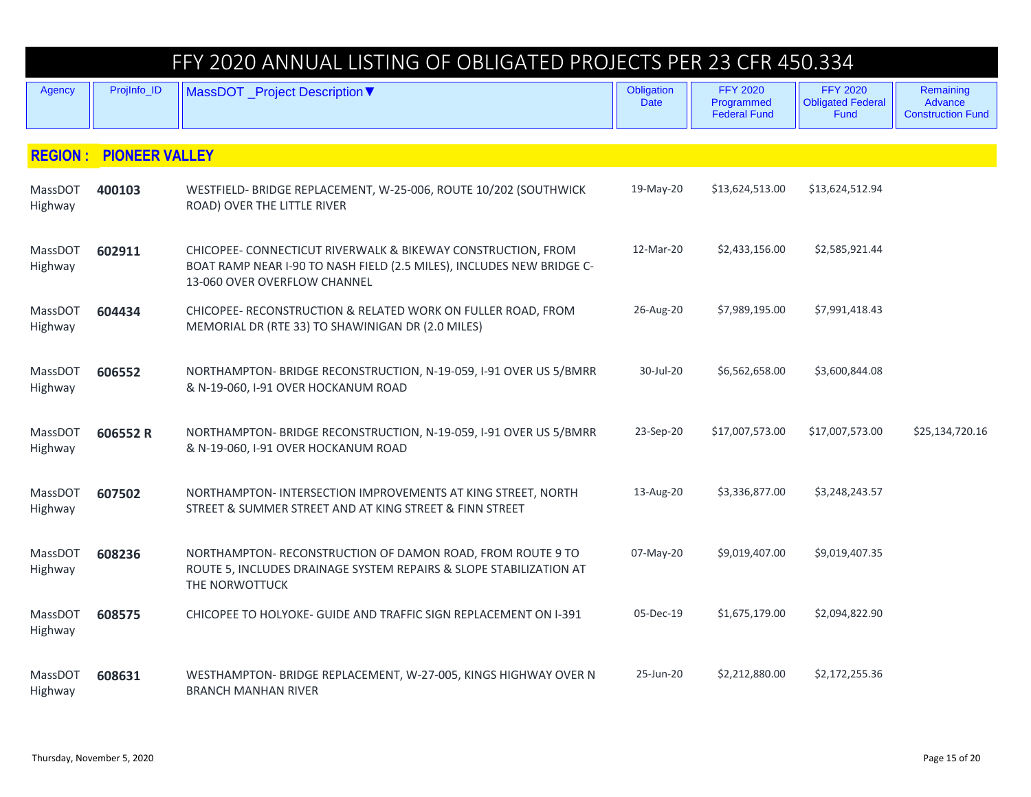|                    |                               | FFY 2020 ANNUAL LISTING OF OBLIGATED PROJECTS PER 23 CFR 450.334                                                                                                      |                           |                                                      |                                                     |                                                  |
|--------------------|-------------------------------|-----------------------------------------------------------------------------------------------------------------------------------------------------------------------|---------------------------|------------------------------------------------------|-----------------------------------------------------|--------------------------------------------------|
| <b>Agency</b>      | ProjInfo_ID                   | MassDOT _Project Description ▼                                                                                                                                        | Obligation<br><b>Date</b> | <b>FFY 2020</b><br>Programmed<br><b>Federal Fund</b> | <b>FFY 2020</b><br><b>Obligated Federal</b><br>Fund | Remaining<br>Advance<br><b>Construction Fund</b> |
|                    | <b>REGION: PIONEER VALLEY</b> |                                                                                                                                                                       |                           |                                                      |                                                     |                                                  |
| MassDOT<br>Highway | 400103                        | WESTFIELD- BRIDGE REPLACEMENT, W-25-006, ROUTE 10/202 (SOUTHWICK<br>ROAD) OVER THE LITTLE RIVER                                                                       | 19-May-20                 | \$13,624,513.00                                      | \$13,624,512.94                                     |                                                  |
| MassDOT<br>Highway | 602911                        | CHICOPEE- CONNECTICUT RIVERWALK & BIKEWAY CONSTRUCTION, FROM<br>BOAT RAMP NEAR I-90 TO NASH FIELD (2.5 MILES), INCLUDES NEW BRIDGE C-<br>13-060 OVER OVERFLOW CHANNEL | 12-Mar-20                 | \$2,433,156.00                                       | \$2,585,921.44                                      |                                                  |
| MassDOT<br>Highway | 604434                        | CHICOPEE- RECONSTRUCTION & RELATED WORK ON FULLER ROAD, FROM<br>MEMORIAL DR (RTE 33) TO SHAWINIGAN DR (2.0 MILES)                                                     | 26-Aug-20                 | \$7,989,195.00                                       | \$7,991,418.43                                      |                                                  |
| MassDOT<br>Highway | 606552                        | NORTHAMPTON-BRIDGE RECONSTRUCTION, N-19-059, I-91 OVER US 5/BMRR<br>& N-19-060, I-91 OVER HOCKANUM ROAD                                                               | 30-Jul-20                 | \$6,562,658.00                                       | \$3,600,844.08                                      |                                                  |
| MassDOT<br>Highway | 606552 R                      | NORTHAMPTON- BRIDGE RECONSTRUCTION, N-19-059, I-91 OVER US 5/BMRR<br>& N-19-060, I-91 OVER HOCKANUM ROAD                                                              | 23-Sep-20                 | \$17,007,573.00                                      | \$17,007,573.00                                     | \$25,134,720.16                                  |
| MassDOT<br>Highway | 607502                        | NORTHAMPTON-INTERSECTION IMPROVEMENTS AT KING STREET, NORTH<br>STREET & SUMMER STREET AND AT KING STREET & FINN STREET                                                | 13-Aug-20                 | \$3,336,877.00                                       | \$3,248,243.57                                      |                                                  |
| MassDOT<br>Highway | 608236                        | NORTHAMPTON-RECONSTRUCTION OF DAMON ROAD, FROM ROUTE 9 TO<br>ROUTE 5, INCLUDES DRAINAGE SYSTEM REPAIRS & SLOPE STABILIZATION AT<br>THE NORWOTTUCK                     | 07-May-20                 | \$9,019,407.00                                       | \$9,019,407.35                                      |                                                  |
| MassDOT<br>Highway | 608575                        | CHICOPEE TO HOLYOKE- GUIDE AND TRAFFIC SIGN REPLACEMENT ON I-391                                                                                                      | 05-Dec-19                 | \$1,675,179.00                                       | \$2,094,822.90                                      |                                                  |
| MassDOT<br>Highway | 608631                        | WESTHAMPTON- BRIDGE REPLACEMENT, W-27-005, KINGS HIGHWAY OVER N<br><b>BRANCH MANHAN RIVER</b>                                                                         | 25-Jun-20                 | \$2,212,880.00                                       | \$2,172,255.36                                      |                                                  |